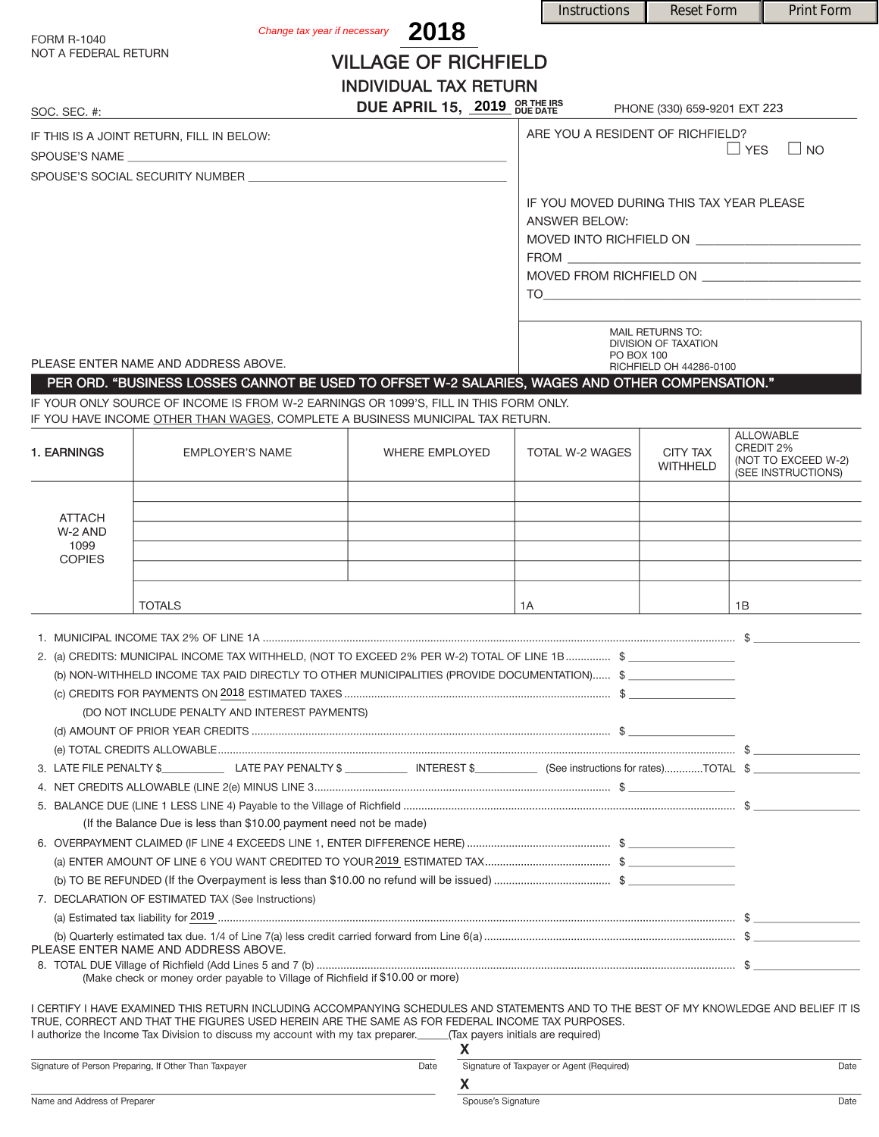|                                                                                                                        |                                                                                                                                                                                                                                                                                                                                                                       |                                   |                    | <b>Instructions</b>                                                                                                                                                                                                                                                                                                                                                | <b>Reset Form</b>                  |           | <b>Print Form</b>   |
|------------------------------------------------------------------------------------------------------------------------|-----------------------------------------------------------------------------------------------------------------------------------------------------------------------------------------------------------------------------------------------------------------------------------------------------------------------------------------------------------------------|-----------------------------------|--------------------|--------------------------------------------------------------------------------------------------------------------------------------------------------------------------------------------------------------------------------------------------------------------------------------------------------------------------------------------------------------------|------------------------------------|-----------|---------------------|
| <b>FORM R-1040</b>                                                                                                     |                                                                                                                                                                                                                                                                                                                                                                       | Change tax year if necessary 2018 |                    |                                                                                                                                                                                                                                                                                                                                                                    |                                    |           |                     |
| NOT A FEDERAL RETURN                                                                                                   |                                                                                                                                                                                                                                                                                                                                                                       | <b>VILLAGE OF RICHFIELD</b>       |                    |                                                                                                                                                                                                                                                                                                                                                                    |                                    |           |                     |
|                                                                                                                        |                                                                                                                                                                                                                                                                                                                                                                       | <b>INDIVIDUAL TAX RETURN</b>      |                    |                                                                                                                                                                                                                                                                                                                                                                    |                                    |           |                     |
| SOC. SEC. #:                                                                                                           |                                                                                                                                                                                                                                                                                                                                                                       | DUE APRIL 15, 2019 OR THE IRS     |                    |                                                                                                                                                                                                                                                                                                                                                                    | PHONE (330) 659-9201 EXT 223       |           |                     |
|                                                                                                                        | IF THIS IS A JOINT RETURN, FILL IN BELOW:                                                                                                                                                                                                                                                                                                                             |                                   |                    | ARE YOU A RESIDENT OF RICHFIELD?                                                                                                                                                                                                                                                                                                                                   |                                    |           |                     |
|                                                                                                                        |                                                                                                                                                                                                                                                                                                                                                                       |                                   |                    | $\Box$ YES<br>$\Box$ NO                                                                                                                                                                                                                                                                                                                                            |                                    |           |                     |
|                                                                                                                        | SPOUSE'S SOCIAL SECURITY NUMBER                                                                                                                                                                                                                                                                                                                                       |                                   |                    |                                                                                                                                                                                                                                                                                                                                                                    |                                    |           |                     |
|                                                                                                                        |                                                                                                                                                                                                                                                                                                                                                                       |                                   |                    | IF YOU MOVED DURING THIS TAX YEAR PLEASE                                                                                                                                                                                                                                                                                                                           |                                    |           |                     |
|                                                                                                                        |                                                                                                                                                                                                                                                                                                                                                                       |                                   |                    | <b>ANSWER BELOW:</b>                                                                                                                                                                                                                                                                                                                                               |                                    |           |                     |
|                                                                                                                        |                                                                                                                                                                                                                                                                                                                                                                       |                                   |                    |                                                                                                                                                                                                                                                                                                                                                                    |                                    |           |                     |
|                                                                                                                        |                                                                                                                                                                                                                                                                                                                                                                       |                                   |                    | MOVED FROM RICHFIELD ON ________________________                                                                                                                                                                                                                                                                                                                   |                                    |           |                     |
|                                                                                                                        |                                                                                                                                                                                                                                                                                                                                                                       |                                   |                    | $\begin{picture}(180,10) \put(0,0){\vector(1,0){100}} \put(15,0){\vector(1,0){100}} \put(15,0){\vector(1,0){100}} \put(15,0){\vector(1,0){100}} \put(15,0){\vector(1,0){100}} \put(15,0){\vector(1,0){100}} \put(15,0){\vector(1,0){100}} \put(15,0){\vector(1,0){100}} \put(15,0){\vector(1,0){100}} \put(15,0){\vector(1,0){100}} \put(15,0){\vector(1,0){100}}$ |                                    |           |                     |
|                                                                                                                        |                                                                                                                                                                                                                                                                                                                                                                       |                                   |                    |                                                                                                                                                                                                                                                                                                                                                                    |                                    |           |                     |
|                                                                                                                        |                                                                                                                                                                                                                                                                                                                                                                       |                                   |                    | MAIL RETURNS TO:<br><b>DIVISION OF TAXATION</b>                                                                                                                                                                                                                                                                                                                    |                                    |           |                     |
| PLEASE ENTER NAME AND ADDRESS ABOVE.                                                                                   |                                                                                                                                                                                                                                                                                                                                                                       |                                   |                    | PO BOX 100<br>RICHFIELD OH 44286-0100                                                                                                                                                                                                                                                                                                                              |                                    |           |                     |
|                                                                                                                        | PER ORD. "BUSINESS LOSSES CANNOT BE USED TO OFFSET W-2 SALARIES, WAGES AND OTHER COMPENSATION."                                                                                                                                                                                                                                                                       |                                   |                    |                                                                                                                                                                                                                                                                                                                                                                    |                                    |           |                     |
|                                                                                                                        | IF YOUR ONLY SOURCE OF INCOME IS FROM W-2 EARNINGS OR 1099'S. FILL IN THIS FORM ONLY.<br>IF YOU HAVE INCOME OTHER THAN WAGES, COMPLETE A BUSINESS MUNICIPAL TAX RETURN.                                                                                                                                                                                               |                                   |                    |                                                                                                                                                                                                                                                                                                                                                                    |                                    |           |                     |
|                                                                                                                        |                                                                                                                                                                                                                                                                                                                                                                       |                                   |                    |                                                                                                                                                                                                                                                                                                                                                                    |                                    |           | <b>ALLOWABLE</b>    |
| 1. EARNINGS                                                                                                            | <b>EMPLOYER'S NAME</b>                                                                                                                                                                                                                                                                                                                                                | <b>WHERE EMPLOYED</b>             |                    | TOTAL W-2 WAGES                                                                                                                                                                                                                                                                                                                                                    | <b>CITY TAX</b><br><b>WITHHELD</b> | CREDIT 2% | (NOT TO EXCEED W-2) |
|                                                                                                                        |                                                                                                                                                                                                                                                                                                                                                                       |                                   |                    |                                                                                                                                                                                                                                                                                                                                                                    |                                    |           | (SEE INSTRUCTIONS)  |
| <b>ATTACH</b>                                                                                                          |                                                                                                                                                                                                                                                                                                                                                                       |                                   |                    |                                                                                                                                                                                                                                                                                                                                                                    |                                    |           |                     |
| W-2 AND                                                                                                                |                                                                                                                                                                                                                                                                                                                                                                       |                                   |                    |                                                                                                                                                                                                                                                                                                                                                                    |                                    |           |                     |
| 1099<br><b>COPIES</b>                                                                                                  |                                                                                                                                                                                                                                                                                                                                                                       |                                   |                    |                                                                                                                                                                                                                                                                                                                                                                    |                                    |           |                     |
|                                                                                                                        |                                                                                                                                                                                                                                                                                                                                                                       |                                   |                    |                                                                                                                                                                                                                                                                                                                                                                    |                                    |           |                     |
|                                                                                                                        | <b>TOTALS</b>                                                                                                                                                                                                                                                                                                                                                         |                                   | 1A                 |                                                                                                                                                                                                                                                                                                                                                                    |                                    | 1B        |                     |
|                                                                                                                        |                                                                                                                                                                                                                                                                                                                                                                       |                                   |                    |                                                                                                                                                                                                                                                                                                                                                                    |                                    |           |                     |
|                                                                                                                        | 2. (a) CREDITS: MUNICIPAL INCOME TAX WITHHELD, (NOT TO EXCEED 2% PER W-2) TOTAL OF LINE 1B  \$                                                                                                                                                                                                                                                                        |                                   |                    |                                                                                                                                                                                                                                                                                                                                                                    |                                    |           |                     |
|                                                                                                                        | (b) NON-WITHHELD INCOME TAX PAID DIRECTLY TO OTHER MUNICIPALITIES (PROVIDE DOCUMENTATION) \$                                                                                                                                                                                                                                                                          |                                   |                    |                                                                                                                                                                                                                                                                                                                                                                    |                                    |           |                     |
|                                                                                                                        |                                                                                                                                                                                                                                                                                                                                                                       |                                   |                    |                                                                                                                                                                                                                                                                                                                                                                    |                                    |           |                     |
|                                                                                                                        | (DO NOT INCLUDE PENALTY AND INTEREST PAYMENTS)                                                                                                                                                                                                                                                                                                                        |                                   |                    |                                                                                                                                                                                                                                                                                                                                                                    |                                    |           |                     |
|                                                                                                                        |                                                                                                                                                                                                                                                                                                                                                                       |                                   |                    |                                                                                                                                                                                                                                                                                                                                                                    |                                    |           |                     |
|                                                                                                                        |                                                                                                                                                                                                                                                                                                                                                                       |                                   |                    |                                                                                                                                                                                                                                                                                                                                                                    |                                    |           |                     |
|                                                                                                                        |                                                                                                                                                                                                                                                                                                                                                                       |                                   |                    |                                                                                                                                                                                                                                                                                                                                                                    |                                    |           |                     |
|                                                                                                                        | (If the Balance Due is less than \$10.00 payment need not be made)                                                                                                                                                                                                                                                                                                    |                                   |                    |                                                                                                                                                                                                                                                                                                                                                                    |                                    |           |                     |
|                                                                                                                        |                                                                                                                                                                                                                                                                                                                                                                       |                                   |                    |                                                                                                                                                                                                                                                                                                                                                                    |                                    |           |                     |
|                                                                                                                        |                                                                                                                                                                                                                                                                                                                                                                       |                                   |                    |                                                                                                                                                                                                                                                                                                                                                                    |                                    |           |                     |
|                                                                                                                        |                                                                                                                                                                                                                                                                                                                                                                       |                                   |                    |                                                                                                                                                                                                                                                                                                                                                                    |                                    |           |                     |
| 7. DECLARATION OF ESTIMATED TAX (See Instructions)                                                                     |                                                                                                                                                                                                                                                                                                                                                                       |                                   |                    |                                                                                                                                                                                                                                                                                                                                                                    |                                    |           |                     |
|                                                                                                                        |                                                                                                                                                                                                                                                                                                                                                                       |                                   |                    |                                                                                                                                                                                                                                                                                                                                                                    |                                    |           |                     |
| PLEASE ENTER NAME AND ADDRESS ABOVE.<br>(Make check or money order payable to Village of Richfield if \$10.00 or more) |                                                                                                                                                                                                                                                                                                                                                                       |                                   |                    |                                                                                                                                                                                                                                                                                                                                                                    |                                    |           |                     |
|                                                                                                                        | I CERTIFY I HAVE EXAMINED THIS RETURN INCLUDING ACCOMPANYING SCHEDULES AND STATEMENTS AND TO THE BEST OF MY KNOWLEDGE AND BELIEF IT IS<br>TRUE, CORRECT AND THAT THE FIGURES USED HEREIN ARE THE SAME AS FOR FEDERAL INCOME TAX PURPOSES.<br>I authorize the Income Tax Division to discuss my account with my tax preparer. ______(Tax payers initials are required) |                                   |                    |                                                                                                                                                                                                                                                                                                                                                                    |                                    |           |                     |
|                                                                                                                        | Signature of Person Preparing, If Other Than Taxpayer                                                                                                                                                                                                                                                                                                                 | Date                              | X.                 | Signature of Taxpayer or Agent (Required)                                                                                                                                                                                                                                                                                                                          |                                    |           | Date                |
|                                                                                                                        |                                                                                                                                                                                                                                                                                                                                                                       |                                   | X.                 |                                                                                                                                                                                                                                                                                                                                                                    |                                    |           |                     |
| Name and Address of Preparer                                                                                           |                                                                                                                                                                                                                                                                                                                                                                       |                                   | Spouse's Signature |                                                                                                                                                                                                                                                                                                                                                                    |                                    |           | Date                |